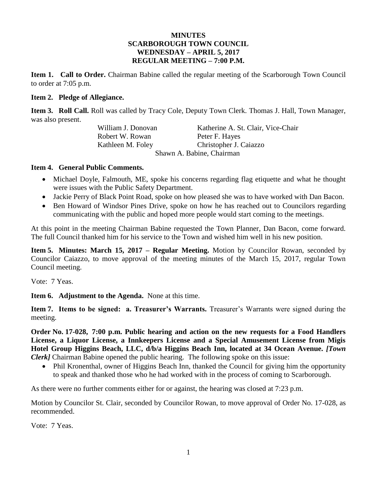### **MINUTES SCARBOROUGH TOWN COUNCIL WEDNESDAY – APRIL 5, 2017 REGULAR MEETING – 7:00 P.M.**

**Item 1. Call to Order.** Chairman Babine called the regular meeting of the Scarborough Town Council to order at 7:05 p.m.

#### **Item 2. Pledge of Allegiance.**

**Item 3. Roll Call.** Roll was called by Tracy Cole, Deputy Town Clerk. Thomas J. Hall, Town Manager, was also present.

Robert W. Rowan Peter F. Hayes

William J. Donovan Katherine A. St. Clair, Vice-Chair Kathleen M. Foley Christopher J. Caiazzo Shawn A. Babine, Chairman

#### **Item 4. General Public Comments.**

- Michael Doyle, Falmouth, ME, spoke his concerns regarding flag etiquette and what he thought were issues with the Public Safety Department.
- Jackie Perry of Black Point Road, spoke on how pleased she was to have worked with Dan Bacon.
- Ben Howard of Windsor Pines Drive, spoke on how he has reached out to Councilors regarding communicating with the public and hoped more people would start coming to the meetings.

At this point in the meeting Chairman Babine requested the Town Planner, Dan Bacon, come forward. The full Council thanked him for his service to the Town and wished him well in his new position.

**Item 5. Minutes: March 15, 2017 – Regular Meeting.** Motion by Councilor Rowan, seconded by Councilor Caiazzo, to move approval of the meeting minutes of the March 15, 2017, regular Town Council meeting.

Vote: 7 Yeas.

**Item 6. Adjustment to the Agenda.** None at this time.

**Item 7. Items to be signed: a. Treasurer's Warrants.** Treasurer's Warrants were signed during the meeting.

**Order No. 17-028, 7:00 p.m. Public hearing and action on the new requests for a Food Handlers License, a Liquor License, a Innkeepers License and a Special Amusement License from Migis Hotel Group Higgins Beach, LLC, d/b/a Higgins Beach Inn, located at 34 Ocean Avenue.** *[Town Clerk]* Chairman Babine opened the public hearing. The following spoke on this issue:

• Phil Kronenthal, owner of Higgins Beach Inn, thanked the Council for giving him the opportunity to speak and thanked those who he had worked with in the process of coming to Scarborough.

As there were no further comments either for or against, the hearing was closed at 7:23 p.m.

Motion by Councilor St. Clair, seconded by Councilor Rowan, to move approval of Order No. 17-028, as recommended.

Vote: 7 Yeas.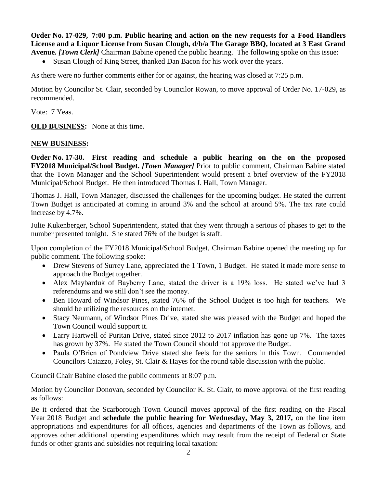**Order No. 17-029, 7:00 p.m. Public hearing and action on the new requests for a Food Handlers License and a Liquor License from Susan Clough, d/b/a The Garage BBQ, located at 3 East Grand Avenue.** *[Town Clerk]* Chairman Babine opened the public hearing. The following spoke on this issue:

• Susan Clough of King Street, thanked Dan Bacon for his work over the years.

As there were no further comments either for or against, the hearing was closed at 7:25 p.m.

Motion by Councilor St. Clair, seconded by Councilor Rowan, to move approval of Order No. 17-029, as recommended.

Vote: 7 Yeas.

**OLD BUSINESS:** None at this time.

#### **NEW BUSINESS:**

**Order No. 17-30. First reading and schedule a public hearing on the on the proposed FY2018 Municipal/School Budget.** *[Town Manager]* Prior to public comment, Chairman Babine stated that the Town Manager and the School Superintendent would present a brief overview of the FY2018 Municipal/School Budget. He then introduced Thomas J. Hall, Town Manager.

Thomas J. Hall, Town Manager, discussed the challenges for the upcoming budget. He stated the current Town Budget is anticipated at coming in around 3% and the school at around 5%. The tax rate could increase by 4.7%.

Julie Kukenberger, School Superintendent, stated that they went through a serious of phases to get to the number presented tonight. She stated 76% of the budget is staff.

Upon completion of the FY2018 Municipal/School Budget, Chairman Babine opened the meeting up for public comment. The following spoke:

- Drew Stevens of Surrey Lane, appreciated the 1 Town, 1 Budget. He stated it made more sense to approach the Budget together.
- Alex Maybarduk of Bayberry Lane, stated the driver is a 19% loss. He stated we've had 3 referendums and we still don't see the money.
- Ben Howard of Windsor Pines, stated 76% of the School Budget is too high for teachers. We should be utilizing the resources on the internet.
- Stacy Neumann, of Windsor Pines Drive, stated she was pleased with the Budget and hoped the Town Council would support it.
- Larry Hartwell of Puritan Drive, stated since 2012 to 2017 inflation has gone up 7%. The taxes has grown by 37%. He stated the Town Council should not approve the Budget.
- Paula O'Brien of Pondview Drive stated she feels for the seniors in this Town. Commended Councilors Caiazzo, Foley, St. Clair & Hayes for the round table discussion with the public.

Council Chair Babine closed the public comments at 8:07 p.m.

Motion by Councilor Donovan, seconded by Councilor K. St. Clair, to move approval of the first reading as follows:

Be it ordered that the Scarborough Town Council moves approval of the first reading on the Fiscal Year 2018 Budget and **schedule the public hearing for Wednesday, May 3, 2017,** on the line item appropriations and expenditures for all offices, agencies and departments of the Town as follows, and approves other additional operating expenditures which may result from the receipt of Federal or State funds or other grants and subsidies not requiring local taxation: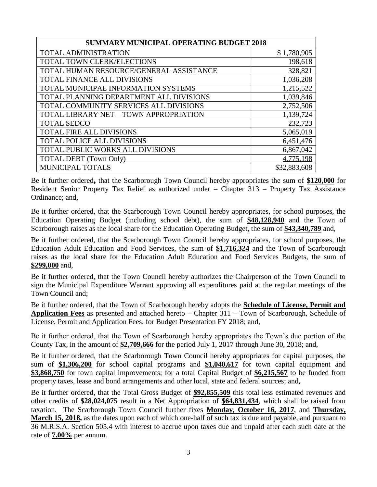| <b>SUMMARY MUNICIPAL OPERATING BUDGET 2018</b> |              |  |
|------------------------------------------------|--------------|--|
| <b>TOTAL ADMINISTRATION</b>                    | \$1,780,905  |  |
| TOTAL TOWN CLERK/ELECTIONS                     | 198,618      |  |
| TOTAL HUMAN RESOURCE/GENERAL ASSISTANCE        | 328,821      |  |
| TOTAL FINANCE ALL DIVISIONS                    | 1,036,208    |  |
| TOTAL MUNICIPAL INFORMATION SYSTEMS            | 1,215,522    |  |
| TOTAL PLANNING DEPARTMENT ALL DIVISIONS        | 1,039,846    |  |
| TOTAL COMMUNITY SERVICES ALL DIVISIONS         | 2,752,506    |  |
| TOTAL LIBRARY NET - TOWN APPROPRIATION         | 1,139,724    |  |
| <b>TOTAL SEDCO</b>                             | 232,723      |  |
| <b>TOTAL FIRE ALL DIVISIONS</b>                | 5,065,019    |  |
| <b>TOTAL POLICE ALL DIVISIONS</b>              | 6,451,476    |  |
| TOTAL PUBLIC WORKS ALL DIVISIONS               | 6,867,042    |  |
| <b>TOTAL DEBT</b> (Town Only)                  | 4,775,198    |  |
| MUNICIPAL TOTALS                               | \$32,883,608 |  |

Be it further ordered**,** that the Scarborough Town Council hereby appropriates the sum of **\$120,000** for Resident Senior Property Tax Relief as authorized under – Chapter 313 – Property Tax Assistance Ordinance; and,

Be it further ordered, that the Scarborough Town Council hereby appropriates, for school purposes, the Education Operating Budget (including school debt), the sum of **\$48,128,940** and the Town of Scarborough raises as the local share for the Education Operating Budget, the sum of **\$43,340,789** and,

Be it further ordered, that the Scarborough Town Council hereby appropriates, for school purposes, the Education Adult Education and Food Services, the sum of **\$1,716,324** and the Town of Scarborough raises as the local share for the Education Adult Education and Food Services Budgets, the sum of **\$299,000** and,

Be it further ordered, that the Town Council hereby authorizes the Chairperson of the Town Council to sign the Municipal Expenditure Warrant approving all expenditures paid at the regular meetings of the Town Council and;

Be it further ordered, that the Town of Scarborough hereby adopts the **Schedule of License, Permit and Application Fees** as presented and attached hereto – Chapter 311 – Town of Scarborough, Schedule of License, Permit and Application Fees, for Budget Presentation FY 2018; and,

Be it further ordered, that the Town of Scarborough hereby appropriates the Town's due portion of the County Tax, in the amount of **\$2,709,666** for the period July 1, 2017 through June 30, 2018; and,

Be it further ordered, that the Scarborough Town Council hereby appropriates for capital purposes, the sum of **\$1,306,200** for school capital programs and **\$1,040,617** for town capital equipment and **\$3,868,750** for town capital improvements; for a total Capital Budget of **\$6,215,567** to be funded from property taxes, lease and bond arrangements and other local, state and federal sources; and,

Be it further ordered, that the Total Gross Budget of **\$92,855,509** this total less estimated revenues and other credits of **\$28,024,075** result in a Net Appropriation of **\$64,831,434**, which shall be raised from taxation. The Scarborough Town Council further fixes **Monday, October 16, 2017**, and **Thursday, March 15, 2018,** as the dates upon each of which one-half of such tax is due and payable, and pursuant to 36 M.R.S.A. Section 505.4 with interest to accrue upon taxes due and unpaid after each such date at the rate of **7.00%** per annum.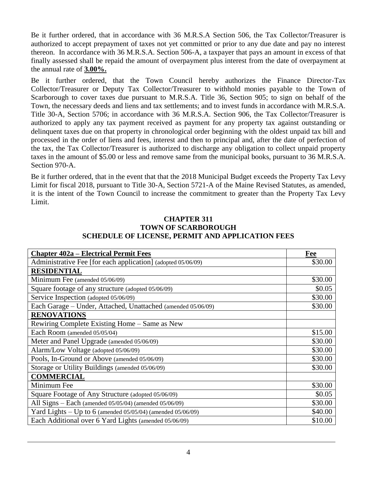Be it further ordered, that in accordance with 36 M.R.S.A Section 506, the Tax Collector/Treasurer is authorized to accept prepayment of taxes not yet committed or prior to any due date and pay no interest thereon. In accordance with 36 M.R.S.A. Section 506-A, a taxpayer that pays an amount in excess of that finally assessed shall be repaid the amount of overpayment plus interest from the date of overpayment at the annual rate of **3.00%.**

Be it further ordered, that the Town Council hereby authorizes the Finance Director-Tax Collector/Treasurer or Deputy Tax Collector/Treasurer to withhold monies payable to the Town of Scarborough to cover taxes due pursuant to M.R.S.A. Title 36, Section 905; to sign on behalf of the Town, the necessary deeds and liens and tax settlements; and to invest funds in accordance with M.R.S.A. Title 30-A, Section 5706; in accordance with 36 M.R.S.A. Section 906, the Tax Collector/Treasurer is authorized to apply any tax payment received as payment for any property tax against outstanding or delinquent taxes due on that property in chronological order beginning with the oldest unpaid tax bill and processed in the order of liens and fees, interest and then to principal and, after the date of perfection of the tax, the Tax Collector/Treasurer is authorized to discharge any obligation to collect unpaid property taxes in the amount of \$5.00 or less and remove same from the municipal books, pursuant to 36 M.R.S.A. Section 970-A.

Be it further ordered, that in the event that that the 2018 Municipal Budget exceeds the Property Tax Levy Limit for fiscal 2018, pursuant to Title 30-A, Section 5721-A of the Maine Revised Statutes, as amended, it is the intent of the Town Council to increase the commitment to greater than the Property Tax Levy Limit.

### **CHAPTER 311 TOWN OF SCARBOROUGH SCHEDULE OF LICENSE, PERMIT AND APPLICATION FEES**

| <b>Chapter 402a – Electrical Permit Fees</b>                      | Fee     |
|-------------------------------------------------------------------|---------|
| Administrative Fee [for each application] (adopted 05/06/09)      | \$30.00 |
| <b>RESIDENTIAL</b>                                                |         |
| Minimum Fee (amended 05/06/09)                                    | \$30.00 |
| Square footage of any structure (adopted 05/06/09)                | \$0.05  |
| Service Inspection (adopted 05/06/09)                             | \$30.00 |
| Each Garage - Under, Attached, Unattached (amended 05/06/09)      | \$30.00 |
| <b>RENOVATIONS</b>                                                |         |
| Rewiring Complete Existing Home – Same as New                     |         |
| Each Room (amended 05/05/04)                                      | \$15.00 |
| Meter and Panel Upgrade (amended 05/06/09)                        | \$30.00 |
| Alarm/Low Voltage (adopted 05/06/09)                              | \$30.00 |
| Pools, In-Ground or Above (amended 05/06/09)                      | \$30.00 |
| Storage or Utility Buildings (amended 05/06/09)                   | \$30.00 |
| <b>COMMERCIAL</b>                                                 |         |
| Minimum Fee                                                       | \$30.00 |
| Square Footage of Any Structure (adopted 05/06/09)                | \$0.05  |
| All Signs - Each (amended 05/05/04) (amended 05/06/09)            | \$30.00 |
| Yard Lights – Up to 6 (amended $05/05/04$ ) (amended $05/06/09$ ) | \$40.00 |
| Each Additional over 6 Yard Lights (amended 05/06/09)             | \$10.00 |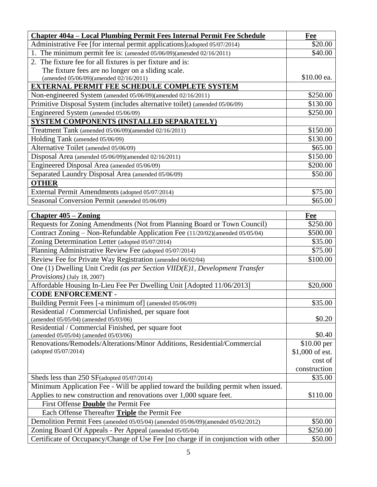| Chapter 404a – Local Plumbing Permit Fees Internal Permit Fee Schedule                      | Fee             |
|---------------------------------------------------------------------------------------------|-----------------|
| Administrative Fee [for internal permit applications](adopted 05/07/2014)                   | \$20.00         |
| 1. The minimum permit fee is: (amended 05/06/09)(amended 02/16/2011)                        | \$40.00         |
| 2. The fixture fee for all fixtures is per fixture and is:                                  |                 |
| The fixture fees are no longer on a sliding scale.                                          |                 |
| (amended 05/06/09)(amended 02/16/2011)                                                      | \$10.00 ea.     |
| <b>EXTERNAL PERMIT FEE SCHEDULE COMPLETE SYSTEM</b>                                         |                 |
| Non-engineered System (amended 05/06/09)(amended 02/16/2011)                                | \$250.00        |
| Primitive Disposal System (includes alternative toilet) (amended 05/06/09)                  | \$130.00        |
| Engineered System (amended 05/06/09)                                                        | \$250.00        |
| SYSTEM COMPONENTS (INSTALLED SEPARATELY)                                                    |                 |
| Treatment Tank (amended 05/06/09)(amended 02/16/2011)                                       | \$150.00        |
| Holding Tank (amended 05/06/09)                                                             | \$130.00        |
| Alternative Toilet (amended 05/06/09)                                                       | \$65.00         |
| Disposal Area (amended 05/06/09)(amended 02/16/2011)                                        | \$150.00        |
| Engineered Disposal Area (amended 05/06/09)                                                 | \$200.00        |
| Separated Laundry Disposal Area (amended 05/06/09)                                          | \$50.00         |
| <b>OTHER</b>                                                                                |                 |
| External Permit Amendments (adopted 05/07/2014)                                             | \$75.00         |
| Seasonal Conversion Permit (amended 05/06/09)                                               | \$65.00         |
|                                                                                             |                 |
| <b>Chapter 405 – Zoning</b>                                                                 | Fee             |
| Requests for Zoning Amendments (Not from Planning Board or Town Council)                    | \$250.00        |
| Contract Zoning – Non-Refundable Application Fee (11/20/02)(amended 05/05/04)               | \$500.00        |
| Zoning Determination Letter (adopted 05/07/2014)                                            | \$35.00         |
| Planning Administrative Review Fee (adopted 05/07/2014)                                     | \$75.00         |
| Review Fee for Private Way Registration (amended 06/02/04)                                  | \$100.00        |
| One (1) Dwelling Unit Credit (as per Section VIID(E)1, Development Transfer                 |                 |
| <i>Provisions</i> ) (July 18, 2007)                                                         |                 |
| Affordable Housing In-Lieu Fee Per Dwelling Unit [Adopted 11/06/2013]                       | \$20,000        |
| <b>CODE ENFORCEMENT -</b>                                                                   |                 |
| Building Permit Fees [-a minimum of] (amended 05/06/09)                                     | \$35.00         |
| Residential / Commercial Unfinished, per square foot                                        | \$0.20          |
| (amended 05/05/04) (amended 05/03/06)<br>Residential / Commercial Finished, per square foot |                 |
| (amended 05/05/04) (amended 05/03/06)                                                       | \$0.40          |
| Renovations/Remodels/Alterations/Minor Additions, Residential/Commercial                    | \$10.00 per     |
| (adopted 05/07/2014)                                                                        | \$1,000 of est. |
|                                                                                             | cost of         |
|                                                                                             | construction    |
| Sheds less than 250 SF(adopted 05/07/2014)                                                  | \$35.00         |
| Minimum Application Fee - Will be applied toward the building permit when issued.           |                 |
| Applies to new construction and renovations over 1,000 square feet.                         | \$110.00        |
| First Offense <b>Double</b> the Permit Fee                                                  |                 |
| Each Offense Thereafter Triple the Permit Fee                                               |                 |
| Demolition Permit Fees (amended 05/05/04) (amended 05/06/09)(amended 05/02/2012)            | \$50.00         |
| Zoning Board Of Appeals - Per Appeal (amended 05/05/04)                                     | \$250.00        |
| Certificate of Occupancy/Change of Use Fee [no charge if in conjunction with other          | \$50.00         |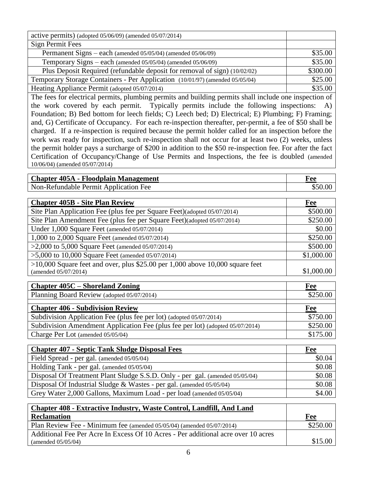| active permits) (adopted $05/06/09$ ) (amended $05/07/2014$ )                                             |          |  |
|-----------------------------------------------------------------------------------------------------------|----------|--|
| Sign Permit Fees                                                                                          |          |  |
| Permanent Signs – each (amended 05/05/04) (amended 05/06/09)                                              | \$35.00  |  |
| Temporary Signs – each (amended 05/05/04) (amended 05/06/09)                                              | \$35.00  |  |
| Plus Deposit Required (refundable deposit for removal of sign) (10/02/02)                                 | \$300.00 |  |
| Temporary Storage Containers - Per Application (10/01/97) (amended 05/05/04)                              | \$25.00  |  |
| Heating Appliance Permit (adopted 05/07/2014)                                                             | \$35.00  |  |
| The fees for electrical permits, plumbing permits and building permits shall include one inspection of    |          |  |
| the work covered by each permit. Typically permits include the following inspections: A)                  |          |  |
| Foundation; B) Bed bottom for leech fields; C) Leech bed; D) Electrical; E) Plumbing; F) Framing;         |          |  |
| and, G) Certificate of Occupancy. For each re-inspection thereafter, per-permit, a fee of \$50 shall be   |          |  |
| charged. If a re-inspection is required because the permit holder called for an inspection before the     |          |  |
| work was ready for inspection, such re-inspection shall not occur for at least two (2) weeks, unless      |          |  |
| the permit holder pays a surcharge of \$200 in addition to the \$50 re-inspection fee. For after the fact |          |  |
| Certification of Occupancy/Change of Use Permits and Inspections, the fee is doubled (amended             |          |  |
| 10/06/04) (amended 05/07/2014)                                                                            |          |  |
|                                                                                                           |          |  |

| <b>Chapter 405A - Floodplain Management</b> | Fee     |
|---------------------------------------------|---------|
| Non-Refundable Permit Application Fee       | \$50.00 |

| <b>Chapter 405B - Site Plan Review</b>                                          | Fee        |
|---------------------------------------------------------------------------------|------------|
| Site Plan Application Fee (plus fee per Square Feet)(adopted 05/07/2014)        | \$500.00   |
| Site Plan Amendment Fee (plus fee per Square Feet)(adopted 05/07/2014)          | \$250.00   |
| Under 1,000 Square Feet (amended 05/07/2014)                                    | \$0.00     |
| 1,000 to 2,000 Square Feet (amended 05/07/2014)                                 | \$250.00   |
| $>2,000$ to 5,000 Square Feet (amended 05/07/2014)                              | \$500.00   |
| $>5,000$ to 10,000 Square Feet (amended 05/07/2014)                             | \$1,000.00 |
| $>10,000$ Square feet and over, plus \$25.00 per 1,000 above 10,000 square feet |            |
| (amended 05/07/2014)                                                            | \$1,000.00 |

| <b>Chapter 405C – Shoreland Zoning</b>                                        | Fee      |
|-------------------------------------------------------------------------------|----------|
| Planning Board Review (adopted 05/07/2014)                                    | \$250.00 |
|                                                                               |          |
| <b>Chapter 406 - Subdivision Review</b>                                       | Fee      |
| Subdivision Application Fee (plus fee per lot) (adopted 05/07/2014)           | \$750.00 |
| Subdivision Amendment Application Fee (plus fee per lot) (adopted 05/07/2014) | \$250.00 |
| Charge Per Lot (amended 05/05/04)                                             | \$175.00 |

| <b>Chapter 407 - Septic Tank Sludge Disposal Fees</b>                        | Fee    |
|------------------------------------------------------------------------------|--------|
| Field Spread - per gal. (amended 05/05/04)                                   | \$0.04 |
| Holding Tank - per gal. (amended 05/05/04)                                   | \$0.08 |
| Disposal Of Treatment Plant Sludge S.S.D. Only - per gal. (amended 05/05/04) | \$0.08 |
| Disposal Of Industrial Sludge & Wastes - per gal. (amended $05/05/04$ )      | \$0.08 |
| Grey Water 2,000 Gallons, Maximum Load - per load (amended 05/05/04)         | \$4.00 |

| <b>Chapter 408 - Extractive Industry, Waste Control, Landfill, And Land</b>       |          |
|-----------------------------------------------------------------------------------|----------|
| <b>Reclamation</b>                                                                | Fee      |
| Plan Review Fee - Minimum fee (amended 05/05/04) (amended 05/07/2014)             | \$250.00 |
| Additional Fee Per Acre In Excess Of 10 Acres - Per additional acre over 10 acres |          |
| (amended $05/05/04$ )                                                             | \$15.00  |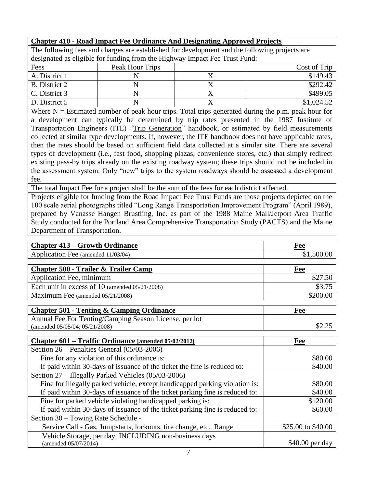# **Chapter 410 - Road Impact Fee Ordinance And Designating Approved Projects**

The following fees and charges are established for development and the following projects are designated as eligible for funding from the Highway Impact Fee Trust Fund:

| Fees          | Peak Hour Trips | Cost of Trip |
|---------------|-----------------|--------------|
| A. District 1 |                 | \$149.43     |
| B. District 2 |                 | \$292.42     |
| C. District 3 |                 | \$499.05     |
| D. District 5 |                 | \$1,024.52   |

Where  $N =$  Estimated number of peak hour trips. Total trips generated during the p.m. peak hour for a development can typically be determined by trip rates presented in the 1987 Institute of Transportation Engineers (ITE) "Trip Generation" handbook, or estimated by field measurements collected at similar type developments. If, however, the ITE handbook does not have applicable rates, then the rates should be based on sufficient field data collected at a similar site. There are several types of development (i.e., fast food, shopping plazas, convenience stores, etc.) that simply redirect existing pass-by trips already on the existing roadway system; these trips should not be included in the assessment system. Only "new" trips to the system roadways should be assessed a development fee.

The total Impact Fee for a project shall be the sum of the fees for each district affected.

Projects eligible for funding from the Road Impact Fee Trust Funds are those projects depicted on the 100 scale aerial photographs titled "Long Range Transportation Improvement Program" (April 1989), prepared by Vanasse Hangen Brustling, Inc. as part of the 1988 Maine Mall/Jetport Area Traffic Study conducted for the Portland Area Comprehensive Transportation Study (PACTS) and the Maine Department of Transportation.

| <b>Chapter 413 – Growth Ordinance</b>                                        | Fee                |
|------------------------------------------------------------------------------|--------------------|
| Application Fee (amended 11/03/04)                                           | \$1,500.00         |
|                                                                              |                    |
| <b>Chapter 500 - Trailer &amp; Trailer Camp</b>                              | Fee                |
| Application Fee, minimum                                                     | \$27.50            |
| Each unit in excess of 10 (amended 05/21/2008)                               | \$3.75             |
| Maximum Fee (amended 05/21/2008)                                             | \$200.00           |
|                                                                              |                    |
| <b>Chapter 501 - Tenting &amp; Camping Ordinance</b>                         | Fee                |
| Annual Fee For Tenting/Camping Season License, per lot                       |                    |
| (amended 05/05/04; 05/21/2008)                                               | \$2.25             |
|                                                                              |                    |
| Chapter 601 – Traffic Ordinance [amended 05/02/2012]                         | Fee                |
| Section $26$ – Penalties General $(05/03-2006)$                              |                    |
| Fine for any violation of this ordinance is:                                 | \$80.00            |
| If paid within 30-days of issuance of the ticket the fine is reduced to:     | \$40.00            |
| Section 27 – Illegally Parked Vehicles (05/03-2006)                          |                    |
| Fine for illegally parked vehicle, except handicapped parking violation is:  | \$80.00            |
| If paid within 30-days of issuance of the ticket parking fine is reduced to: | \$40.00            |
| Fine for parked vehicle violating handicapped parking is:                    | \$120.00           |
| If paid within 30-days of issuance of the ticket parking fine is reduced to: | \$60.00            |
| Section 30 – Towing Rate Schedule -                                          |                    |
| Service Call - Gas, Jumpstarts, lockouts, tire change, etc. Range            | \$25.00 to \$40.00 |
| Vehicle Storage, per day, INCLUDING non-business days                        |                    |
| (amended 05/07/2014)                                                         | \$40.00 per day    |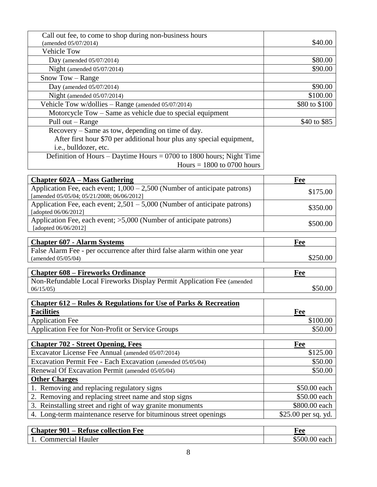| Call out fee, to come to shop during non-business hours<br>(amended 05/07/2014)    | \$40.00             |
|------------------------------------------------------------------------------------|---------------------|
| <b>Vehicle Tow</b>                                                                 |                     |
| Day (amended $05/07/2014$ )                                                        | \$80.00             |
| Night (amended $05/07/2014$ )                                                      | \$90.00             |
| Snow Tow - Range                                                                   |                     |
| Day (amended 05/07/2014)                                                           | \$90.00             |
| Night (amended $05/07/2014$ )                                                      | \$100.00            |
| Vehicle Tow w/dollies - Range (amended 05/07/2014)                                 | \$80 to \$100       |
| Motorcycle Tow – Same as vehicle due to special equipment                          |                     |
| Pull out - Range                                                                   | \$40 to \$85        |
| Recovery – Same as tow, depending on time of day.                                  |                     |
| After first hour \$70 per additional hour plus any special equipment,              |                     |
| i.e., bulldozer, etc.                                                              |                     |
| Definition of Hours – Daytime Hours = $0700$ to 1800 hours; Night Time             |                     |
| Hours $= 1800$ to 0700 hours                                                       |                     |
|                                                                                    |                     |
| <b>Chapter 602A – Mass Gathering</b>                                               | Fee                 |
| Application Fee, each event; $1,000 - 2,500$ (Number of anticipate patrons)        | \$175.00            |
| [amended 05/05/04; 05/21/2008; 06/06/2012]                                         |                     |
| Application Fee, each event; $2,501 - 5,000$ (Number of anticipate patrons)        | \$350.00            |
| [adopted 06/06/2012]                                                               |                     |
| Application Fee, each event; >5,000 (Number of anticipate patrons)                 | \$500.00            |
| [adopted 06/06/2012]                                                               |                     |
| <b>Chapter 607 - Alarm Systems</b>                                                 | Fee                 |
| False Alarm Fee - per occurrence after third false alarm within one year           |                     |
| (amended 05/05/04)                                                                 | \$250.00            |
|                                                                                    |                     |
| <b>Chapter 608 – Fireworks Ordinance</b>                                           | Fee                 |
| Non-Refundable Local Fireworks Display Permit Application Fee (amended<br>06/15/05 | \$50.00             |
|                                                                                    |                     |
| <u>Chapter 612 – Rules &amp; Regulations for Use of Parks &amp; Recreation</u>     |                     |
| <b>Facilities</b>                                                                  | Fee                 |
| <b>Application Fee</b>                                                             | \$100.00            |
| Application Fee for Non-Profit or Service Groups                                   | \$50.00             |
|                                                                                    |                     |
| <b>Chapter 702 - Street Opening, Fees</b>                                          | Fee                 |
| Excavator License Fee Annual (amended 05/07/2014)                                  | \$125.00            |
| Excavation Permit Fee - Each Excavation (amended 05/05/04)                         | \$50.00             |
| Renewal Of Excavation Permit (amended 05/05/04)                                    | \$50.00             |
| <b>Other Charges</b>                                                               |                     |
| 1. Removing and replacing regulatory signs                                         | \$50.00 each        |
| 2. Removing and replacing street name and stop signs                               | \$50.00 each        |
| 3. Reinstalling street and right of way granite monuments                          | \$800.00 each       |
| 4. Long-term maintenance reserve for bituminous street openings                    | \$25.00 per sq. yd. |

| <b>Chapter 901 – Refuse collection Fee</b> | F ee          |
|--------------------------------------------|---------------|
| <b>Commercial Hauler</b>                   | \$500.00 each |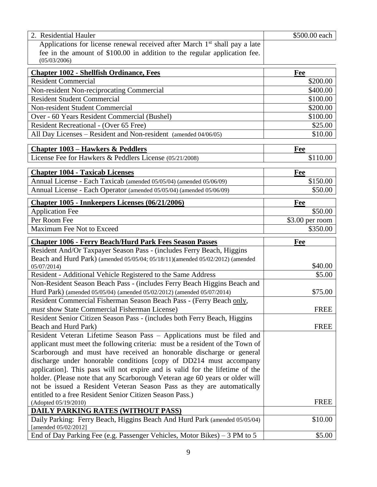| 2. Residential Hauler                                                                                                                               | \$500.00 each    |
|-----------------------------------------------------------------------------------------------------------------------------------------------------|------------------|
| Applications for license renewal received after March 1 <sup>st</sup> shall pay a late                                                              |                  |
| fee in the amount of \$100.00 in addition to the regular application fee.                                                                           |                  |
| (05/03/2006)                                                                                                                                        |                  |
| <b>Chapter 1002 - Shellfish Ordinance, Fees</b>                                                                                                     | Fee              |
| <b>Resident Commercial</b>                                                                                                                          | \$200.00         |
| Non-resident Non-reciprocating Commercial                                                                                                           | \$400.00         |
| <b>Resident Student Commercial</b>                                                                                                                  | \$100.00         |
| Non-resident Student Commercial                                                                                                                     | \$200.00         |
| Over - 60 Years Resident Commercial (Bushel)                                                                                                        | \$100.00         |
| Resident Recreational - (Over 65 Free)                                                                                                              | \$25.00          |
| All Day Licenses – Resident and Non-resident (amended 04/06/05)                                                                                     | \$10.00          |
| <b>Chapter 1003 – Hawkers &amp; Peddlers</b>                                                                                                        | Fee              |
| License Fee for Hawkers & Peddlers License (05/21/2008)                                                                                             | \$110.00         |
|                                                                                                                                                     |                  |
| <b>Chapter 1004 - Taxicab Licenses</b>                                                                                                              | Fee              |
| Annual License - Each Taxicab (amended 05/05/04) (amended 05/06/09)                                                                                 | \$150.00         |
| Annual License - Each Operator (amended 05/05/04) (amended 05/06/09)                                                                                | \$50.00          |
| <b>Chapter 1005 - Innkeepers Licenses (06/21/2006)</b>                                                                                              | Fee              |
| <b>Application Fee</b>                                                                                                                              | \$50.00          |
| Per Room Fee                                                                                                                                        | $$3.00$ per room |
| Maximum Fee Not to Exceed                                                                                                                           | \$350.00         |
|                                                                                                                                                     |                  |
|                                                                                                                                                     |                  |
| <b>Chapter 1006 - Ferry Beach/Hurd Park Fees Season Passes</b>                                                                                      | Fee              |
| Resident And/Or Taxpayer Season Pass - (includes Ferry Beach, Higgins                                                                               |                  |
| Beach and Hurd Park) (amended 05/05/04; 05/18/11)(amended 05/02/2012) (amended                                                                      |                  |
| 05/07/2014)                                                                                                                                         | \$40.00          |
| Resident - Additional Vehicle Registered to the Same Address                                                                                        | \$5.00           |
| Non-Resident Season Beach Pass - (includes Ferry Beach Higgins Beach and<br>Hurd Park) (amended 05/05/04) (amended 05/02/2012) (amended 05/07/2014) | \$75.00          |
| Resident Commercial Fisherman Season Beach Pass - (Ferry Beach only,                                                                                |                  |
| <i>must</i> show State Commercial Fisherman License)                                                                                                | <b>FREE</b>      |
| Resident Senior Citizen Season Pass - (includes both Ferry Beach, Higgins                                                                           |                  |
| Beach and Hurd Park)                                                                                                                                | <b>FREE</b>      |
| Resident Veteran Lifetime Season Pass - Applications must be filed and                                                                              |                  |
| applicant must meet the following criteria: must be a resident of the Town of                                                                       |                  |
| Scarborough and must have received an honorable discharge or general                                                                                |                  |
| discharge under honorable conditions [copy of DD214 must accompany                                                                                  |                  |
| application]. This pass will not expire and is valid for the lifetime of the                                                                        |                  |
| holder. (Please note that any Scarborough Veteran age 60 years or older will                                                                        |                  |
| not be issued a Resident Veteran Season Pass as they are automatically                                                                              |                  |
| entitled to a free Resident Senior Citizen Season Pass.)                                                                                            |                  |
| (Adopted 05/19/2010)                                                                                                                                | <b>FREE</b>      |
| <b>DAILY PARKING RATES (WITHOUT PASS)</b>                                                                                                           |                  |
| Daily Parking: Ferry Beach, Higgins Beach And Hurd Park (amended 05/05/04)<br>[amended 05/02/2012]                                                  | \$10.00          |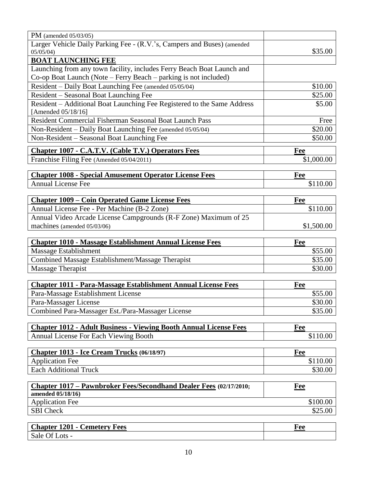| PM (amended $05/03/05$ )                                                  |            |
|---------------------------------------------------------------------------|------------|
| Larger Vehicle Daily Parking Fee - (R.V.'s, Campers and Buses) (amended   | \$35.00    |
| 05/05/04<br><b>BOAT LAUNCHING FEE</b>                                     |            |
| Launching from any town facility, includes Ferry Beach Boat Launch and    |            |
| Co-op Boat Launch (Note – Ferry Beach – parking is not included)          |            |
| Resident - Daily Boat Launching Fee (amended 05/05/04)                    | \$10.00    |
| Resident - Seasonal Boat Launching Fee                                    | \$25.00    |
| Resident - Additional Boat Launching Fee Registered to the Same Address   | \$5.00     |
| [Amended 05/18/16]                                                        |            |
| Resident Commercial Fisherman Seasonal Boat Launch Pass                   | Free       |
| Non-Resident - Daily Boat Launching Fee (amended 05/05/04)                | \$20.00    |
| Non-Resident - Seasonal Boat Launching Fee                                | \$50.00    |
| <b>Chapter 1007 - C.A.T.V. (Cable T.V.) Operators Fees</b>                | Fee        |
| Franchise Filing Fee (Amended 05/04/2011)                                 | \$1,000.00 |
|                                                                           |            |
| <b>Chapter 1008 - Special Amusement Operator License Fees</b>             | <b>Fee</b> |
| <b>Annual License Fee</b>                                                 | \$110.00   |
|                                                                           |            |
| <b>Chapter 1009 – Coin Operated Game License Fees</b>                     | Fee        |
| Annual License Fee - Per Machine (B-2 Zone)                               | \$110.00   |
| Annual Video Arcade License Campgrounds (R-F Zone) Maximum of 25          | \$1,500.00 |
| machines (amended 05/03/06)                                               |            |
| <b>Chapter 1010 - Massage Establishment Annual License Fees</b>           | Fee        |
| Massage Establishment                                                     | \$55.00    |
| Combined Massage Establishment/Massage Therapist                          | \$35.00    |
| Massage Therapist                                                         | \$30.00    |
| <b>Chapter 1011 - Para-Massage Establishment Annual License Fees</b>      | Fee        |
| Para-Massage Establishment License                                        | \$55.00    |
| Para-Massager License                                                     | \$30.00    |
| Combined Para-Massager Est./Para-Massager License                         | \$35.00    |
|                                                                           |            |
| <b>Chapter 1012 - Adult Business - Viewing Booth Annual License Fees</b>  | Fee        |
| Annual License For Each Viewing Booth                                     | \$110.00   |
|                                                                           |            |
| Chapter 1013 - Ice Cream Trucks (06/18/97)                                | Fee        |
| <b>Application Fee</b>                                                    | \$110.00   |
| <b>Each Additional Truck</b>                                              | \$30.00    |
| <b>Chapter 1017 – Pawnbroker Fees/Secondhand Dealer Fees (02/17/2010;</b> | <b>Fee</b> |
| amended 05/18/16)<br><b>Application Fee</b>                               | \$100.00   |
| <b>SBI</b> Check                                                          | \$25.00    |
|                                                                           |            |
| <b>Chapter 1201 - Cemetery Fees</b>                                       | Fee        |

Sale Of Lots -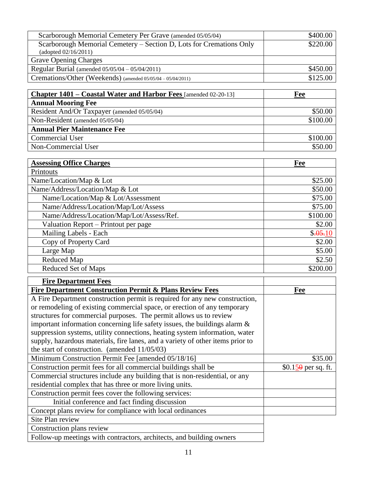| Scarborough Memorial Cemetery Per Grave (amended 05/05/04)          | \$400.00 |
|---------------------------------------------------------------------|----------|
| Scarborough Memorial Cemetery – Section D, Lots for Cremations Only | \$220.00 |
| (adopted 02/16/2011)                                                |          |
| <b>Grave Opening Charges</b>                                        |          |
| Regular Burial (amended $05/05/04 - 05/04/2011$ )                   | \$450.00 |
| Cremations/Other (Weekends) (amended 05/05/04 - 05/04/2011)         | \$125.00 |

| Chapter 1401 – Coastal Water and Harbor Fees [amended 02-20-13] | Fee      |
|-----------------------------------------------------------------|----------|
| <b>Annual Mooring Fee</b>                                       |          |
| Resident And/Or Taxpayer (amended 05/05/04)                     | \$50.00  |
| Non-Resident (amended 05/05/04)                                 | \$100.00 |
| <b>Annual Pier Maintenance Fee</b>                              |          |
| <b>Commercial User</b>                                          | \$100.00 |
| Non-Commercial User                                             | \$50.00  |

| <b>Assessing Office Charges</b>           | Fee      |
|-------------------------------------------|----------|
| Printouts                                 |          |
| Name/Location/Map & Lot                   | \$25.00  |
| Name/Address/Location/Map & Lot           | \$50.00  |
| Name/Location/Map & Lot/Assessment        | \$75.00  |
| Name/Address/Location/Map/Lot/Assess      | \$75.00  |
| Name/Address/Location/Map/Lot/Assess/Ref. | \$100.00 |
| Valuation Report – Printout per page      | \$2.00   |
| Mailing Labels - Each                     | \$.05.10 |
| Copy of Property Card                     | \$2.00   |
| Large Map                                 | \$5.00   |
| Reduced Map                               | \$2.50   |
| Reduced Set of Maps                       | \$200.00 |

| <b>Fire Department Fees</b>                                                    |                           |
|--------------------------------------------------------------------------------|---------------------------|
| <b>Fire Department Construction Permit &amp; Plans Review Fees</b>             | Fee                       |
| A Fire Department construction permit is required for any new construction,    |                           |
| or remodeling of existing commercial space, or erection of any temporary       |                           |
| structures for commercial purposes. The permit allows us to review             |                           |
| important information concerning life safety issues, the buildings alarm $\&$  |                           |
| suppression systems, utility connections, heating system information, water    |                           |
| supply, hazardous materials, fire lanes, and a variety of other items prior to |                           |
| the start of construction. (amended $11/05/03$ )                               |                           |
| Minimum Construction Permit Fee [amended 05/18/16]                             | \$35.00                   |
| Construction permit fees for all commercial buildings shall be                 | $$0.15\theta$ per sq. ft. |
| Commercial structures include any building that is non-residential, or any     |                           |
| residential complex that has three or more living units.                       |                           |
| Construction permit fees cover the following services:                         |                           |
| Initial conference and fact finding discussion                                 |                           |
| Concept plans review for compliance with local ordinances                      |                           |
| Site Plan review                                                               |                           |
| Construction plans review                                                      |                           |
| Follow-up meetings with contractors, architects, and building owners           |                           |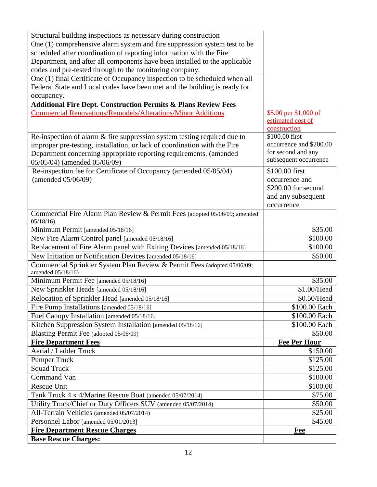| Structural building inspections as necessary during construction                              |                                             |
|-----------------------------------------------------------------------------------------------|---------------------------------------------|
| One (1) comprehensive alarm system and fire suppression system test to be                     |                                             |
| scheduled after coordination of reporting information with the Fire                           |                                             |
| Department, and after all components have been installed to the applicable                    |                                             |
| codes and pre-tested through to the monitoring company.                                       |                                             |
| One (1) final Certificate of Occupancy inspection to be scheduled when all                    |                                             |
| Federal State and Local codes have been met and the building is ready for                     |                                             |
| occupancy.                                                                                    |                                             |
| <b>Additional Fire Dept. Construction Permits &amp; Plans Review Fees</b>                     |                                             |
| <b>Commercial Renovations/Remodels/Alterations/Minor Additions</b>                            | \$5.00 per \$1,000 of                       |
|                                                                                               | estimated cost of                           |
|                                                                                               | construction                                |
| Re-inspection of alarm & fire suppression system testing required due to                      | \$100.00 first                              |
| improper pre-testing, installation, or lack of coordination with the Fire                     | occurrence and \$200.00                     |
| Department concerning appropriate reporting requirements. (amended                            | for second and any<br>subsequent occurrence |
| 05/05/04) (amended 05/06/09)                                                                  |                                             |
| Re-inspection fee for Certificate of Occupancy (amended 05/05/04)                             | \$100.00 first                              |
| (amended 05/06/09)                                                                            | occurrence and                              |
|                                                                                               | \$200.00 for second                         |
|                                                                                               | and any subsequent                          |
|                                                                                               | occurrence                                  |
| Commercial Fire Alarm Plan Review & Permit Fees (adopted 05/06/09; amended                    |                                             |
| 05/18/16                                                                                      |                                             |
| Minimum Permit [amended 05/18/16]                                                             | \$35.00                                     |
| New Fire Alarm Control panel [amended 05/18/16]                                               | \$100.00                                    |
| Replacement of Fire Alarm panel with Exiting Devices [amended 05/18/16]                       | \$100.00                                    |
| New Initiation or Notification Devices [amended 05/18/16]                                     | \$50.00                                     |
| Commercial Sprinkler System Plan Review & Permit Fees (adopted 05/06/09;<br>amended 05/18/16) |                                             |
| Minimum Permit Fee [amended 05/18/16]                                                         | \$35.00                                     |
| New Sprinkler Heads [amended 05/18/16]                                                        | \$1.00/Head                                 |
| Relocation of Sprinkler Head [amended 05/18/16]                                               | \$0.50/Head                                 |
| Fire Pump Installations [amended 05/18/16]                                                    | \$100.00 Each                               |
| Fuel Canopy Installation [amended 05/18/16]                                                   | \$100.00 Each                               |
| Kitchen Suppression System Installation [amended 05/18/16]                                    | \$100.00 Each                               |
| Blasting Permit Fee (adopted 05/06/09)                                                        | \$50.00                                     |
| <b>Fire Department Fees</b>                                                                   | <b>Fee Per Hour</b>                         |
| Aerial / Ladder Truck                                                                         | \$150.00                                    |
| <b>Pumper Truck</b>                                                                           | \$125.00                                    |
| <b>Squad Truck</b>                                                                            | \$125.00                                    |
| Command Van                                                                                   | \$100.00                                    |
| <b>Rescue Unit</b>                                                                            | \$100.00                                    |
| Tank Truck 4 x 4/Marine Rescue Boat (amended 05/07/2014)                                      | \$75.00                                     |
| Utility Truck/Chief or Duty Officers SUV (amended 05/07/2014)                                 | \$50.00                                     |
| All-Terrain Vehicles (amended 05/07/2014)                                                     | \$25.00                                     |
| Personnel Labor [amended 05/01/2013]                                                          | \$45.00                                     |
| <b>Fire Department Rescue Charges</b>                                                         |                                             |
|                                                                                               | Fee                                         |
| <b>Base Rescue Charges:</b>                                                                   |                                             |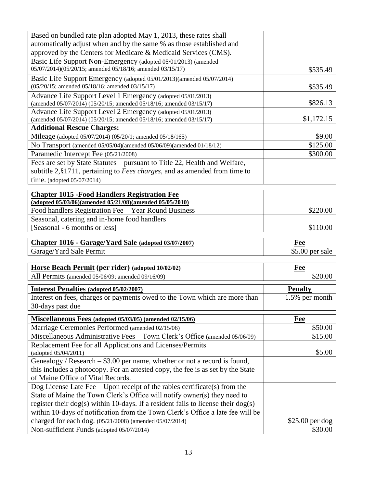| Based on bundled rate plan adopted May 1, 2013, these rates shall                                                                         |                  |
|-------------------------------------------------------------------------------------------------------------------------------------------|------------------|
| automatically adjust when and by the same % as those established and                                                                      |                  |
| approved by the Centers for Medicare & Medicaid Services (CMS).                                                                           |                  |
| Basic Life Support Non-Emergency (adopted 05/01/2013) (amended                                                                            |                  |
| 05/07/2014)(05/20/15; amended 05/18/16; amended 03/15/17)                                                                                 | \$535.49         |
| Basic Life Support Emergency (adopted 05/01/2013)(amended 05/07/2014)                                                                     |                  |
| (05/20/15; amended 05/18/16; amended 03/15/17)                                                                                            | \$535.49         |
| Advance Life Support Level 1 Emergency (adopted 05/01/2013)                                                                               | \$826.13         |
| (amended 05/07/2014) (05/20/15; amended 05/18/16; amended 03/15/17)<br>Advance Life Support Level 2 Emergency (adopted 05/01/2013)        |                  |
| (amended 05/07/2014) (05/20/15; amended 05/18/16; amended 03/15/17)                                                                       | \$1,172.15       |
| <b>Additional Rescue Charges:</b>                                                                                                         |                  |
| Mileage (adopted 05/07/2014) (05/20/1; amended 05/18/165)                                                                                 | \$9.00           |
| No Transport (amended 05/05/04)(amended 05/06/09)(amended 01/18/12)                                                                       | \$125.00         |
| Paramedic Intercept Fee (05/21/2008)                                                                                                      | \$300.00         |
| Fees are set by State Statutes – pursuant to Title 22, Health and Welfare,                                                                |                  |
| subtitle $2, §1711$ , pertaining to <i>Fees charges</i> , and as amended from time to                                                     |                  |
| time. (adopted $05/07/2014$ )                                                                                                             |                  |
|                                                                                                                                           |                  |
| <b>Chapter 1015 - Food Handlers Registration Fee</b><br>(adopted 05/03/06)(amended 05/21/08)(amended 05/05/2010)                          |                  |
| Food handlers Registration Fee - Year Round Business                                                                                      | \$220.00         |
|                                                                                                                                           |                  |
|                                                                                                                                           |                  |
| Seasonal, catering and in-home food handlers                                                                                              |                  |
| [Seasonal - 6 months or less]                                                                                                             | \$110.00         |
| Chapter 1016 - Garage/Yard Sale (adopted 03/07/2007)                                                                                      | Fee              |
| Garage/Yard Sale Permit                                                                                                                   | $$5.00$ per sale |
|                                                                                                                                           |                  |
| Horse Beach Permit (per rider) (adopted 10/02/02)                                                                                         | Fee              |
| All Permits (amended 05/06/09; amended 09/16/09)                                                                                          | \$20.00          |
| <b>Interest Penalties (adopted 05/02/2007)</b>                                                                                            | <b>Penalty</b>   |
| Interest on fees, charges or payments owed to the Town which are more than                                                                | 1.5% per month   |
| 30-days past due                                                                                                                          |                  |
| <b>Miscellaneous Fees (adopted 05/03/05) (amended 02/15/06)</b>                                                                           | <b>Fee</b>       |
| Marriage Ceremonies Performed (amended 02/15/06)                                                                                          | \$50.00          |
| Miscellaneous Administrative Fees - Town Clerk's Office (amended 05/06/09)                                                                | \$15.00          |
| Replacement Fee for all Applications and Licenses/Permits                                                                                 |                  |
| (adopted 05/04/2011)                                                                                                                      | \$5.00           |
| Genealogy / Research $-$ \$3.00 per name, whether or not a record is found,                                                               |                  |
| this includes a photocopy. For an attested copy, the fee is as set by the State                                                           |                  |
| of Maine Office of Vital Records.                                                                                                         |                  |
| Dog License Late Fee $-$ Upon receipt of the rabies certificate(s) from the                                                               |                  |
| State of Maine the Town Clerk's Office will notify owner(s) they need to                                                                  |                  |
| register their dog(s) within 10-days. If a resident fails to license their dog(s)                                                         |                  |
| within 10-days of notification from the Town Clerk's Office a late fee will be<br>charged for each dog. (05/21/2008) (amended 05/07/2014) | $$25.00$ per dog |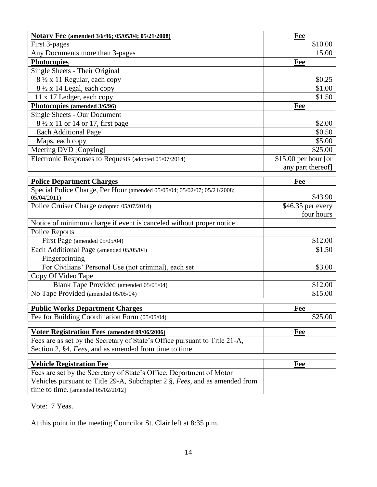| Notary Fee (amended 3/6/96; 05/05/04; 05/21/2008)                                      | Fee                  |
|----------------------------------------------------------------------------------------|----------------------|
| First 3-pages                                                                          | \$10.00              |
| Any Documents more than 3-pages                                                        | 15.00                |
| <b>Photocopies</b>                                                                     | Fee                  |
| Single Sheets - Their Original                                                         |                      |
| 8 1/2 x 11 Regular, each copy                                                          | \$0.25               |
| 8 1/2 x 14 Legal, each copy                                                            | \$1.00               |
| 11 x 17 Ledger, each copy                                                              | \$1.50               |
| Photocopies (amended 3/6/96)                                                           | Fee                  |
| <b>Single Sheets - Our Document</b>                                                    |                      |
| 8 1/2 x 11 or 14 or 17, first page                                                     | \$2.00               |
| <b>Each Additional Page</b>                                                            | \$0.50               |
| Maps, each copy                                                                        | \$5.00               |
| Meeting DVD [Copying]                                                                  | \$25.00              |
| Electronic Responses to Requests (adopted 05/07/2014)                                  | \$15.00 per hour [or |
|                                                                                        | any part thereof]    |
|                                                                                        |                      |
| <b>Police Department Charges</b>                                                       | Fee                  |
| Special Police Charge, Per Hour (amended 05/05/04; 05/02/07; 05/21/2008;<br>05/04/2011 | \$43.90              |
| Police Cruiser Charge (adopted 05/07/2014)                                             | \$46.35 per every    |
|                                                                                        | four hours           |
| Notice of minimum charge if event is canceled without proper notice                    |                      |
| <b>Police Reports</b>                                                                  |                      |
| First Page (amended 05/05/04)                                                          | \$12.00              |
| Each Additional Page (amended 05/05/04)                                                | \$1.50               |
| Fingerprinting                                                                         |                      |
| For Civilians' Personal Use (not criminal), each set                                   | \$3.00               |
| Copy Of Video Tape                                                                     |                      |
| Blank Tape Provided (amended 05/05/04)                                                 | \$12.00              |
| No Tape Provided (amended 05/05/04)                                                    | \$15.00              |
| <b>Public Works Department Charges</b>                                                 | Fee                  |
| Fee for Building Coordination Form (05/05/04)                                          | \$25.00              |
|                                                                                        |                      |
| Voter Registration Fees (amended 09/06/2006)                                           | Fee                  |
| Fees are as set by the Secretary of State's Office pursuant to Title 21-A,             |                      |
| Section 2, §4, Fees, and as amended from time to time.                                 |                      |
|                                                                                        |                      |
| <b>Vehicle Registration Fee</b>                                                        | <b>Fee</b>           |
| Fees are set by the Secretary of State's Office, Department of Motor                   |                      |
| Vehicles pursuant to Title 29-A, Subchapter $2 \xi$ , Fees, and as amended from        |                      |
| time to time. [amended 05/02/2012]                                                     |                      |

Vote: 7 Yeas.

At this point in the meeting Councilor St. Clair left at 8:35 p.m.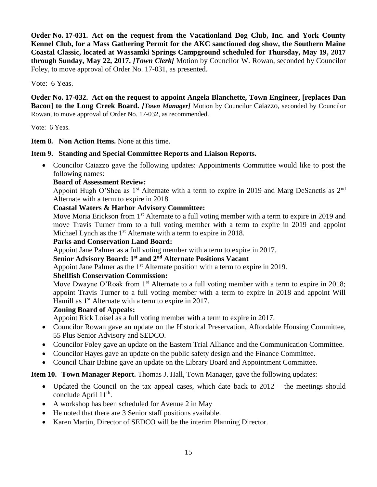**Order No. 17-031. Act on the request from the Vacationland Dog Club, Inc. and York County Kennel Club, for a Mass Gathering Permit for the AKC sanctioned dog show, the Southern Maine Coastal Classic, located at Wassamki Springs Campground scheduled for Thursday, May 19, 2017 through Sunday, May 22, 2017.** *[Town Clerk]* Motion by Councilor W. Rowan, seconded by Councilor Foley, to move approval of Order No. 17-031, as presented.

Vote: 6 Yeas.

**Order No. 17-032. Act on the request to appoint Angela Blanchette, Town Engineer, [replaces Dan Bacon] to the Long Creek Board.** *[Town Manager]* Motion by Councilor Caiazzo, seconded by Councilor Rowan, to move approval of Order No. 17-032, as recommended.

Vote: 6 Yeas.

**Item 8. Non Action Items.** None at this time.

# **Item 9. Standing and Special Committee Reports and Liaison Reports.**

• Councilor Caiazzo gave the following updates: Appointments Committee would like to post the following names:

## **Board of Assessment Review:**

Appoint Hugh O'Shea as  $1<sup>st</sup>$  Alternate with a term to expire in 2019 and Marg DeSanctis as  $2<sup>nd</sup>$ Alternate with a term to expire in 2018.

## **Coastal Waters & Harbor Advisory Committee:**

Move Moria Erickson from 1<sup>st</sup> Alternate to a full voting member with a term to expire in 2019 and move Travis Turner from to a full voting member with a term to expire in 2019 and appoint Michael Lynch as the 1<sup>st</sup> Alternate with a term to expire in 2018.

### **Parks and Conservation Land Board:**

Appoint Jane Palmer as a full voting member with a term to expire in 2017.

**Senior Advisory Board: 1st and 2 nd Alternate Positions Vacant**

Appoint Jane Palmer as the 1<sup>st</sup> Alternate position with a term to expire in 2019.

# **Shellfish Conservation Commission:**

Move Dwayne O'Roak from 1<sup>st</sup> Alternate to a full voting member with a term to expire in 2018; appoint Travis Turner to a full voting member with a term to expire in 2018 and appoint Will Hamill as 1<sup>st</sup> Alternate with a term to expire in 2017.

# **Zoning Board of Appeals:**

Appoint Rick Loisel as a full voting member with a term to expire in 2017.

- Councilor Rowan gave an update on the Historical Preservation, Affordable Housing Committee, 55 Plus Senior Advisory and SEDCO.
- Councilor Foley gave an update on the Eastern Trial Alliance and the Communication Committee.
- Councilor Hayes gave an update on the public safety design and the Finance Committee.
- Council Chair Babine gave an update on the Library Board and Appointment Committee.

**Item 10. Town Manager Report.** Thomas J. Hall, Town Manager, gave the following updates:

- Updated the Council on the tax appeal cases, which date back to  $2012 -$  the meetings should conclude April 11<sup>th</sup>.
- A workshop has been scheduled for Avenue 2 in May
- He noted that there are 3 Senior staff positions available.
- Karen Martin, Director of SEDCO will be the interim Planning Director.